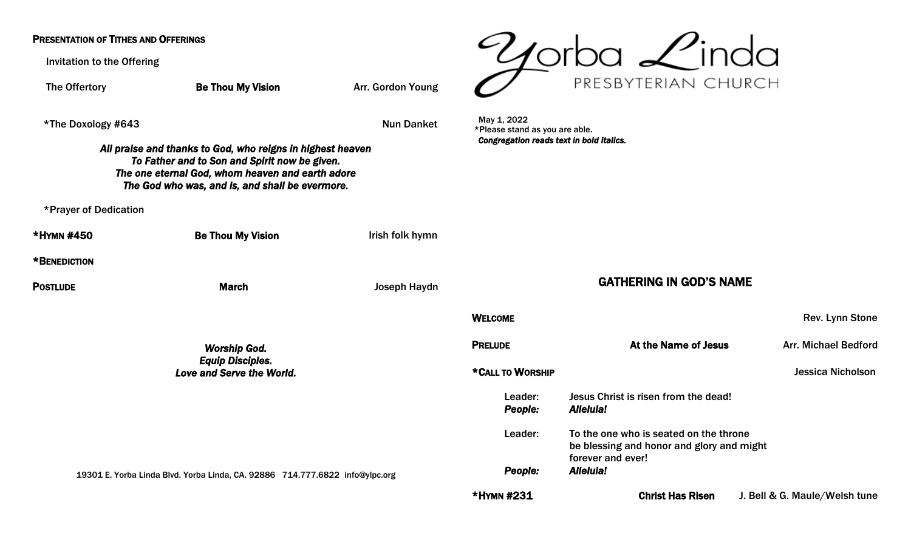## PRESENTATION OF TITHES AND OFFERINGS

Invitation to the Offering

 $\mathscr{U}$ orba  $\mathscr{L}$ inda PRESBYTERIAN CHURCH The Offertory **Be Thou My Vision** Arr. Gordon Young May 1, 2022 \*The Doxology #643 Nun Danket \*Please stand as you are able. *Congregation reads text in bold italics. All praise and thanks to God, who reigns in highest heaven To Father and to Son and Spirit now be given. The one eternal God, whom heaven and earth adore The God who was, and is, and shall be evermore.*  \*Prayer of Dedication \*HYMN #450 Be Thou My Vision Irish folk hymn \*BENEDICTION GATHERING IN GOD'S NAME **POSTLUDE March** March Joseph Haydn WELCOME **WELCOME Rev. Lynn** Stone **PRELUDE At the Name of Jesus** Arr. Michael Bedford *Worship God. Equip Disciples.*  \*CALL TO WORSHIP Jessica Nicholson *Love and Serve the World.*  Leader: Jesus Christ is risen from the dead! *People: Alleluia!*  Leader: To the one who is seated on the throne be blessing and honor and glory and might forever and ever! *People: Alleluia!*  19301 E. Yorba Linda Blvd. Yorba Linda, CA. 92886 714.777.6822 [info@ylpc.org](mailto:info@ylpc.org) \*HYMN #231 Christ Has Risen J. Bell & G. Maule/Welsh tune